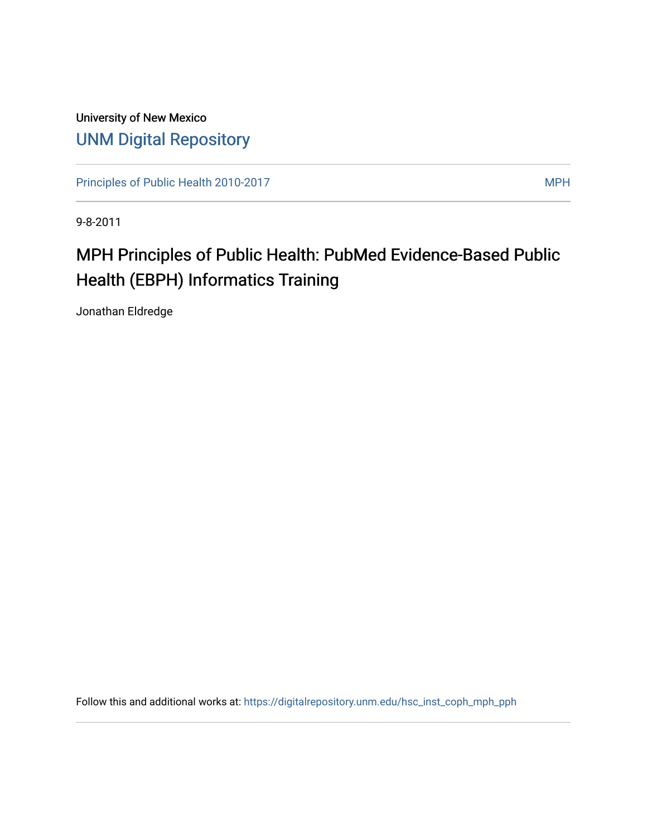University of New Mexico [UNM Digital Repository](https://digitalrepository.unm.edu/) 

[Principles of Public Health 2010-2017](https://digitalrepository.unm.edu/hsc_inst_coph_mph_pph) MPH

9-8-2011

# MPH Principles of Public Health: PubMed Evidence-Based Public Health (EBPH) Informatics Training

Jonathan Eldredge

Follow this and additional works at: [https://digitalrepository.unm.edu/hsc\\_inst\\_coph\\_mph\\_pph](https://digitalrepository.unm.edu/hsc_inst_coph_mph_pph?utm_source=digitalrepository.unm.edu%2Fhsc_inst_coph_mph_pph%2F7&utm_medium=PDF&utm_campaign=PDFCoverPages)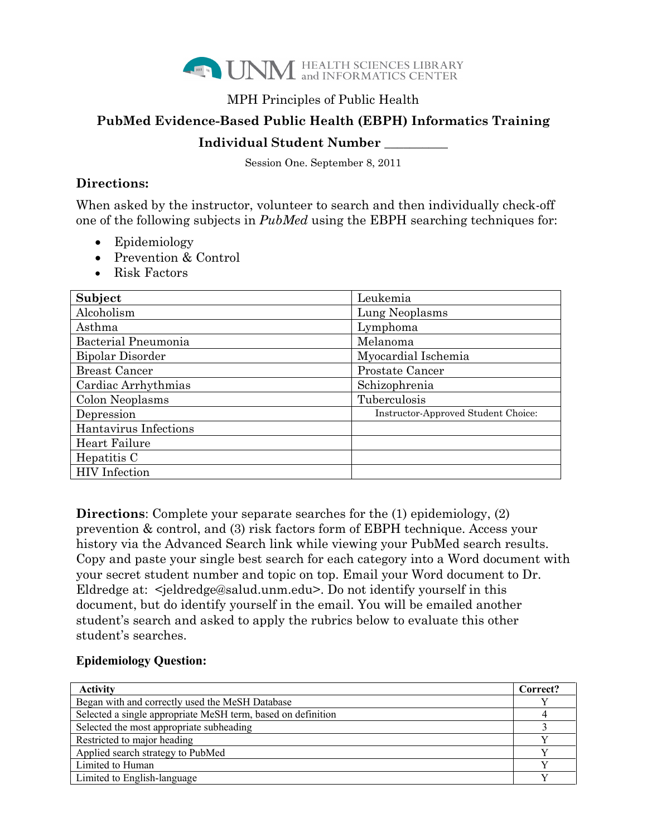

## MPH Principles of Public Health

# **PubMed Evidence-Based Public Health (EBPH) Informatics Training**

## **Individual Student Number \_\_\_\_\_\_\_\_\_\_**

Session One. September 8, 2011

## **Directions:**

When asked by the instructor, volunteer to search and then individually check-off one of the following subjects in *PubMed* using the EBPH searching techniques for:

- Epidemiology
- Prevention & Control
- Risk Factors

| Subject               | Leukemia                            |
|-----------------------|-------------------------------------|
| Alcoholism            | Lung Neoplasms                      |
| Asthma                | Lymphoma                            |
| Bacterial Pneumonia   | Melanoma                            |
| Bipolar Disorder      | Myocardial Ischemia                 |
| <b>Breast Cancer</b>  | Prostate Cancer                     |
| Cardiac Arrhythmias   | Schizophrenia                       |
| Colon Neoplasms       | Tuberculosis                        |
| Depression            | Instructor-Approved Student Choice: |
| Hantavirus Infections |                                     |
| Heart Failure         |                                     |
| Hepatitis C           |                                     |
| <b>HIV</b> Infection  |                                     |

**Directions**: Complete your separate searches for the (1) epidemiology, (2) prevention & control, and (3) risk factors form of EBPH technique. Access your history via the Advanced Search link while viewing your PubMed search results. Copy and paste your single best search for each category into a Word document with your secret student number and topic on top. Email your Word document to Dr. Eldredge at: <jeldredge@salud.unm.edu>. Do not identify yourself in this document, but do identify yourself in the email. You will be emailed another student's search and asked to apply the rubrics below to evaluate this other student's searches.

#### **Epidemiology Question:**

| <b>Activity</b>                                              | Correct? |
|--------------------------------------------------------------|----------|
| Began with and correctly used the MeSH Database              |          |
| Selected a single appropriate MeSH term, based on definition |          |
| Selected the most appropriate subheading                     |          |
| Restricted to major heading                                  |          |
| Applied search strategy to PubMed                            |          |
| Limited to Human                                             |          |
| Limited to English-language                                  |          |